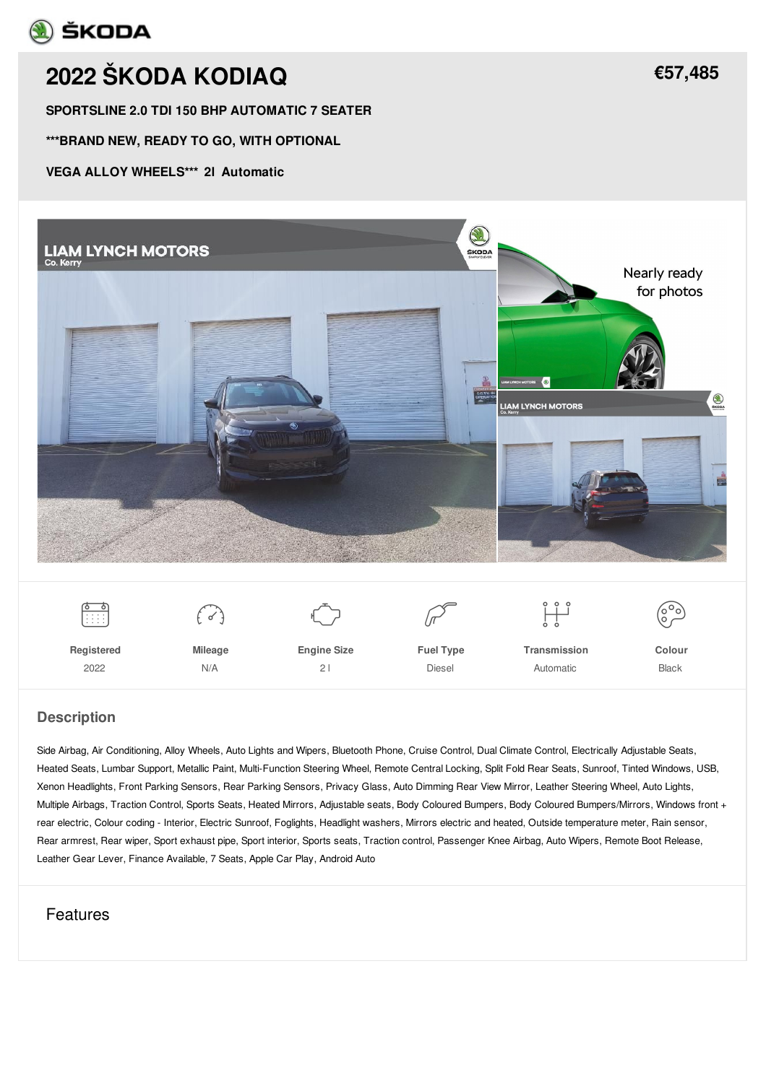## **A** ŠKODA

# **2022 ŠKODA [KODIAQ](/used-cars/pdf/)**

**SPORTSLINE 2.0 TDI 150 BHP AUTOMATIC 7 SEATER**

**\*\*\*BRAND NEW, READY TO GO, WITH OPTIONAL**

#### **VEGA ALLOY WHEELS\*\*\* 2l Automatic**





 $\bigcirc$ 



 $\mathbb{Z}$ 

ׅׅׅׅׅׅ֘֘֟֘֘֟֘֟֘֟֘׀֖֛֛֘

 $\begin{pmatrix} 0 & 0 \\ 0 & 0 \end{pmatrix}$ 

**Registered** 2022

**Mileage** N/A

**Engine Size** 2 l

**Fuel Type** Diesel

**Transmission** Automatic

**Colour** Black

#### **Description**

Side Airbag, Air Conditioning, Alloy Wheels, Auto Lights and Wipers, Bluetooth Phone, Cruise Control, Dual Climate Control, Electrically Adjustable Seats, Heated Seats, Lumbar Support, Metallic Paint, Multi-Function Steering Wheel, Remote Central Locking, Split Fold Rear Seats, Sunroof, Tinted Windows, USB, Xenon Headlights, Front Parking Sensors, Rear Parking Sensors, Privacy Glass, Auto Dimming Rear View Mirror, Leather Steering Wheel, Auto Lights, Multiple Airbags, Traction Control, Sports Seats, Heated Mirrors, Adjustable seats, Body Coloured Bumpers, Body Coloured Bumpers/Mirrors, Windows front + rear electric, Colour coding - Interior, Electric Sunroof, Foglights, Headlight washers, Mirrors electric and heated, Outside temperature meter, Rain sensor, Rear armrest, Rear wiper, Sport exhaust pipe, Sport interior, Sports seats, Traction control, Passenger Knee Airbag, Auto Wipers, Remote Boot Release, Leather Gear Lever, Finance Available, 7 Seats, Apple Car Play, Android Auto

## Features

**[€57,485](/used-cars/pdf/)**